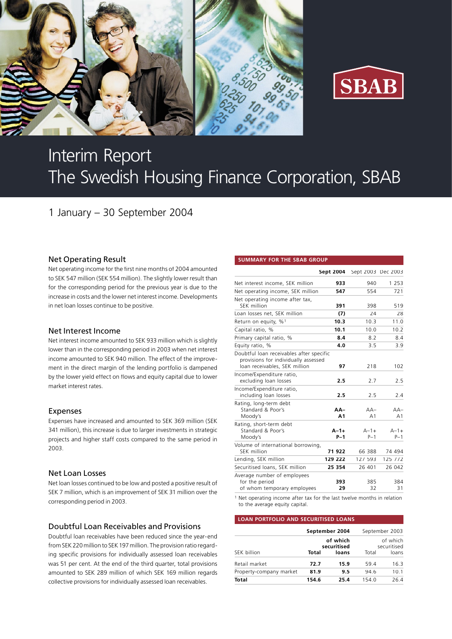



# Interim Report The Swedish Housing Finance Corporation, SBAB

# 1 January – 30 September 2004

#### Net Operating Result

Net operating income for the first nine months of 2004 amounted to SEK 547 million (SEK 554 million). The slightly lower result than for the corresponding period for the previous year is due to the increase in costs and the lower net interest income. Developments in net loan losses continue to be positive.

#### Net Interest Income

Net interest income amounted to SEK 933 million which is slightly lower than in the corresponding period in 2003 when net interest income amounted to SEK 940 million. The effect of the improvement in the direct margin of the lending portfolio is dampened by the lower yield effect on flows and equity capital due to lower market interest rates.

#### Expenses

Expenses have increased and amounted to SEK 369 million (SEK 341 million), this increase is due to larger investments in strategic projects and higher staff costs compared to the same period in 2003.

#### Net Loan Losses

Net loan losses continued to be low and posted a positive result of SEK 7 million, which is an improvement of SEK 31 million over the corresponding period in 2003.

### Doubtful Loan Receivables and Provisions

Doubtful loan receivables have been reduced since the year-end from SEK 220 million to SEK 197 million. The provision ratio regarding specific provisions for individually assessed loan receivables was 51 per cent. At the end of the third quarter, total provisions amounted to SEK 289 million of which SEK 169 million regards collective provisions for individually assessed loan receivables.

#### **SUMMARY FOR THE SBAB GROUP**

|                                                                                                                   | Sept 2004          | Sept 2003 Dec 2003      |                    |
|-------------------------------------------------------------------------------------------------------------------|--------------------|-------------------------|--------------------|
| Net interest income, SEK million                                                                                  | 933                | 940                     | 1 2 5 3            |
| Net operating income, SEK million                                                                                 | 547                | 554                     | 721                |
| Net operating income after tax,<br>SEK million                                                                    | 391                | 398                     | 519                |
| Loan losses net, SEK million                                                                                      | (7)                | 24                      | 28                 |
| Return on equity, %1                                                                                              | 10.3               | 10.3                    | 11.0               |
| Capital ratio, %                                                                                                  | 10.1               | 10.0                    | 10.2               |
| Primary capital ratio, %                                                                                          | 8.4                | 8.2                     | 8.4                |
| Equity ratio, %                                                                                                   | 4.0                | 3.5                     | 3.9                |
| Doubtful loan receivables after specific<br>provisions for individually assessed<br>loan receivables, SEK million | 97                 | 218                     | 102                |
| Income/Expenditure ratio,<br>excluding loan losses                                                                | 2.5                | 2.7                     | 2.5                |
| Income/Expenditure ratio,<br>including loan losses                                                                | 2.5                | 2.5                     | 2.4                |
| Rating, long-term debt<br>Standard & Poor's<br>Moody's                                                            | AA-<br>A1          | $AA-$<br>A <sub>1</sub> | $AA-$<br>A1        |
| Rating, short-term debt<br>Standard & Poor's<br>Moody's                                                           | $A - 1 +$<br>$P-1$ | $A - 1 +$<br>$P-1$      | $A - 1 +$<br>$P-1$ |
| Volume of international borrowing,<br>SEK million                                                                 | 71922              | 66 388                  | 74 494             |
| Lending, SEK million                                                                                              | 129 222            | 127 593                 | 125 772            |
| Securitised loans, SEK million                                                                                    | 25 354             | 26 401                  | 26 042             |
| Average number of employees<br>for the period<br>of whom temporary employees                                      | 393<br>29          | 385<br>32               | 384<br>31          |

1 Net operating income after tax for the last twelve months in relation to the average equity capital.

#### **LOAN PORTFOLIO AND SECURITISED LOANS**

|                         |       | September 2004          | September 2003 |                         |
|-------------------------|-------|-------------------------|----------------|-------------------------|
|                         |       | of which<br>securitised |                | of which<br>securitised |
| SEK billion             | Total | loans                   | Total          | loans                   |
| Retail market           | 72.7  | 15.9                    | 59.4           | 16.3                    |
| Property-company market | 81.9  | 9.5                     | 94.6           | 10.1                    |
| <b>Total</b>            | 154.6 | 25.4                    | 154.0          | 26.4                    |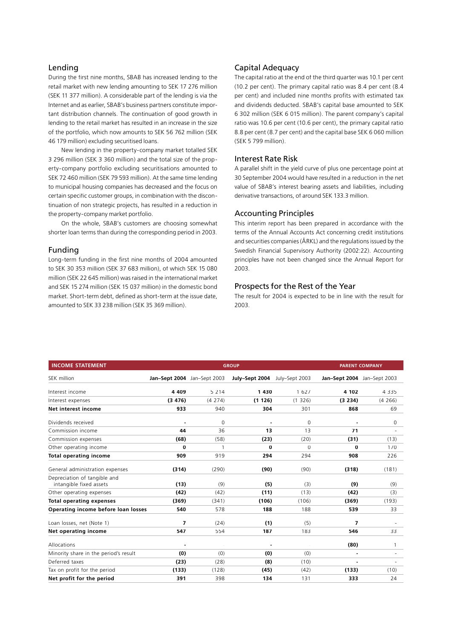#### Lending

During the first nine months, SBAB has increased lending to the retail market with new lending amounting to SEK 17 276 million (SEK 11 377 million). A considerable part of the lending is via the Internet and as earlier, SBAB's business partners constitute important distribution channels. The continuation of good growth in lending to the retail market has resulted in an increase in the size of the portfolio, which now amounts to SEK 56 762 million (SEK 46 179 million) excluding securitised loans.

New lending in the property-company market totalled SEK 3 296 million (SEK 3 360 million) and the total size of the property-company portfolio excluding securitisations amounted to SEK 72 460 million (SEK 79 593 million). At the same time lending to municipal housing companies has decreased and the focus on certain specific customer groups, in combination with the discontinuation of non strategic projects, has resulted in a reduction in the property-company market portfolio.

On the whole, SBAB's customers are choosing somewhat shorter loan terms than during the corresponding period in 2003.

#### Funding

Long-term funding in the first nine months of 2004 amounted to SEK 30 353 million (SEK 37 683 million), of which SEK 15 080 million (SEK 22 645 million) was raised in the international market and SEK 15 274 million (SEK 15 037 million) in the domestic bond market. Short-term debt, defined as short-term at the issue date, amounted to SEK 33 238 million (SEK 35 369 million).

#### Capital Adequacy

The capital ratio at the end of the third quarter was 10.1 per cent (10.2 per cent). The primary capital ratio was 8.4 per cent (8.4 per cent) and included nine months profits with estimated tax and dividends deducted. SBAB's capital base amounted to SEK 6 302 million (SEK 6 015 million). The parent company's capital ratio was 10.6 per cent (10.6 per cent), the primary capital ratio 8.8 per cent (8.7 per cent) and the capital base SEK 6 060 million (SEK 5 799 million).

#### Interest Rate Risk

A parallel shift in the yield curve of plus one percentage point at 30 September 2004 would have resulted in a reduction in the net value of SBAB's interest bearing assets and liabilities, including derivative transactions, of around SEK 133.3 million.

#### Accounting Principles

This interim report has been prepared in accordance with the terms of the Annual Accounts Act concerning credit institutions and securities companies (ÅRKL) and the regulations issued by the Swedish Financial Supervisory Authority (2002:22). Accounting principles have not been changed since the Annual Report for 2003.

## Prospects for the Rest of the Year

The result for 2004 is expected to be in line with the result for 2003.

| <b>INCOME STATEMENT</b>               |                             |                | <b>GROUP</b>                  |          |                             | <b>PARENT COMPANY</b> |
|---------------------------------------|-----------------------------|----------------|-------------------------------|----------|-----------------------------|-----------------------|
| SEK million                           | Jan-Sept 2004 Jan-Sept 2003 |                | July-Sept 2004 July-Sept 2003 |          | Jan-Sept 2004 Jan-Sept 2003 |                       |
| Interest income                       | 4 4 0 9                     | 5 2 1 4        | 1430                          | 1627     | 4 102                       | 4 3 3 5               |
| Interest expenses                     | (3, 476)                    | (4274)         | (1126)                        | (1326)   | (3 234)                     | (4266)                |
| Net interest income                   | 933                         | 940            | 304                           | 301      | 868                         | 69                    |
| Dividends received                    |                             | 0              |                               | $\Omega$ |                             | 0                     |
| Commission income                     | 44                          | 36             | 13                            | 13       | 71                          | ä,                    |
| Commission expenses                   | (68)                        | (58)           | (23)                          | (20)     | (31)                        | (13)                  |
| Other operating income                | $\Omega$                    | $\overline{1}$ | 0                             | $\Omega$ | $\bf{0}$                    | 170                   |
| <b>Total operating income</b>         | 909                         | 919            | 294                           | 294      | 908                         | 226                   |
| General administration expenses       | (314)                       | (290)          | (90)                          | (90)     | (318)                       | (181)                 |
| Depreciation of tangible and          |                             |                |                               |          |                             |                       |
| intangible fixed assets               | (13)                        | (9)            | (5)                           | (3)      | (9)                         | (9)                   |
| Other operating expenses              | (42)                        | (42)           | (11)                          | (13)     | (42)                        | (3)                   |
| <b>Total operating expenses</b>       | (369)                       | (341)          | (106)                         | (106)    | (369)                       | (193)                 |
| Operating income before loan losses   | 540                         | 578            | 188                           | 188      | 539                         | 33                    |
| Loan losses, net (Note 1)             | 7                           | (24)           | (1)                           | (5)      | 7                           |                       |
| Net operating income                  | 547                         | 554            | 187                           | 183      | 546                         | 33                    |
| Allocations                           |                             |                |                               |          | (80)                        | 1                     |
| Minority share in the period's result | (0)                         | (0)            | (0)                           | (0)      | $\overline{\phantom{a}}$    | ÷                     |
| Deferred taxes                        | (23)                        | (28)           | (8)                           | (10)     | ä,                          | ä,                    |
| Tax on profit for the period          | (133)                       | (128)          | (45)                          | (42)     | (133)                       | (10)                  |
| Net profit for the period             | 391                         | 398            | 134                           | 131      | 333                         | 24                    |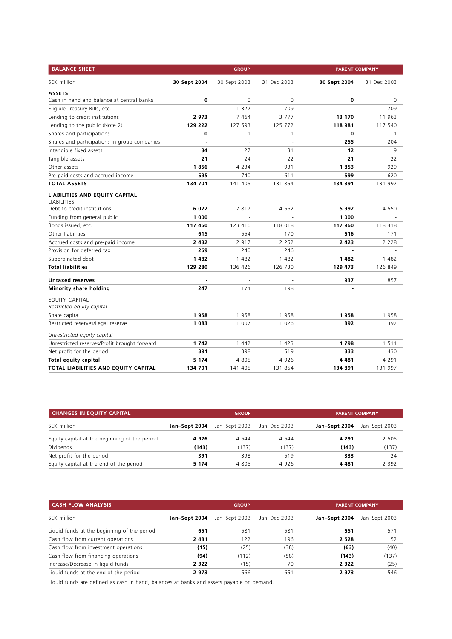| <b>BALANCE SHEET</b>                                                                |              | <b>GROUP</b> |             | <b>PARENT COMPANY</b> |              |
|-------------------------------------------------------------------------------------|--------------|--------------|-------------|-----------------------|--------------|
| SEK million                                                                         | 30 Sept 2004 | 30 Sept 2003 | 31 Dec 2003 | 30 Sept 2004          | 31 Dec 2003  |
| <b>ASSETS</b>                                                                       |              |              |             |                       |              |
| Cash in hand and balance at central banks                                           | 0            | $\mathbf 0$  | 0           | 0                     | 0            |
| Eligible Treasury Bills, etc.                                                       |              | 1 3 2 2      | 709         |                       | 709          |
| Lending to credit institutions                                                      | 2973         | 7 4 6 4      | 3777        | 13 170                | 11 963       |
| Lending to the public (Note 2)                                                      | 129 222      | 127 593      | 125 772     | 118 981               | 117 540      |
| Shares and participations                                                           | 0            | 1            | 1           | 0                     | $\mathbf{1}$ |
| Shares and participations in group companies                                        | ÷,           | ä,           | L.          | 255                   | 204          |
| Intangible fixed assets                                                             | 34           | 27           | 31          | 12                    | 9            |
| Tangible assets                                                                     | 21           | 24           | 22          | 21                    | 22           |
| Other assets                                                                        | 1856         | 4 2 3 4      | 931         | 1853                  | 929          |
| Pre-paid costs and accrued income                                                   | 595          | 740          | 611         | 599                   | 620          |
| <b>TOTAL ASSETS</b>                                                                 | 134 701      | 141 405      | 131 854     | 134 891               | 131 997      |
| LIABILITIES AND EQUITY CAPITAL<br><b>LIABILITIES</b><br>Debt to credit institutions | 6022         | 7817         | 4 5 6 2     | 5992                  | 4 5 5 0      |
| Funding from general public                                                         | 1 000        |              |             | 1 000                 |              |
| Bonds issued, etc.                                                                  | 117 460      | 123 416      | 118 018     | 117 960               | 118 418      |
| Other liabilities                                                                   | 615          | 554          | 170         | 616                   | 171          |
| Accrued costs and pre-paid income                                                   | 2 4 3 2      | 2 9 1 7      | 2 2 5 2     | 2 4 2 3               | 2 2 2 8      |
| Provision for deferred tax                                                          | 269          | 240          | 246         |                       |              |
| Subordinated debt                                                                   | 1482         | 1 482        | 1 482       | 1482                  | 1 4 8 2      |
| <b>Total liabilities</b>                                                            | 129 280      | 136 426      | 126 730     | 129 473               | 126 849      |
| <b>Untaxed reserves</b>                                                             |              |              |             | 937                   | 857          |
| Minority share holding                                                              | 247          | 174          | 198         | $\sim$                |              |
| <b>EOUITY CAPITAL</b><br>Restricted equity capital                                  |              |              |             |                       |              |
| Share capital                                                                       | 1958         | 1958         | 1958        | 1958                  | 1958         |
| Restricted reserves/Legal reserve                                                   | 1 0 8 3      | 1 0 0 7      | 1 0 2 6     | 392                   | 392          |
| Unrestricted equity capital                                                         |              |              |             |                       |              |
| Unrestricted reserves/Profit brought forward                                        | 1742         | 1 4 4 2      | 1 4 2 3     | 1798                  | 1 5 1 1      |
| Net profit for the period                                                           | 391          | 398          | 519         | 333                   | 430          |
| <b>Total equity capital</b>                                                         | 5 1 7 4      | 4 8 0 5      | 4 9 2 6     | 4 4 8 1               | 4 2 9 1      |
| TOTAL LIABILITIES AND EQUITY CAPITAL                                                | 134 701      | 141 405      | 131 854     | 134 891               | 131 997      |

| <b>CHANGES IN EOUITY CAPITAL</b>              | <b>GROUP</b>  |               |              | <b>PARENT COMPANY</b> |               |
|-----------------------------------------------|---------------|---------------|--------------|-----------------------|---------------|
| SEK million                                   | Jan-Sept 2004 | Jan-Sept 2003 | Jan-Dec 2003 | Jan-Sept 2004         | Jan-Sept 2003 |
| Equity capital at the beginning of the period | 4926          | 4 5 4 4       | 4 5 4 4      | 4 2 9 1               | 2 5 0 5       |
| <b>Dividends</b>                              | (143)         | (137)         | (137)        | (143)                 | (137)         |
| Net profit for the period                     | 391           | 398           | 519          | 333                   | 24            |
| Equity capital at the end of the period       | 5 1 7 4       | 4 805         | 4 9 2 6      | 4 4 8 1               | 2 3 9 2       |

| <b>CASH FLOW ANALYSIS</b>                   |               | <b>GROUP</b>  |              |               | <b>PARENT COMPANY</b> |  |
|---------------------------------------------|---------------|---------------|--------------|---------------|-----------------------|--|
| SEK million                                 | Jan-Sept 2004 | Jan-Sept 2003 | Jan-Dec 2003 | Jan-Sept 2004 | Jan-Sept 2003         |  |
| Liquid funds at the beginning of the period | 651           | 581           | 581          | 651           | 571                   |  |
| Cash flow from current operations           | 2 4 3 1       | 122           | 196          | 2 5 2 8       | 152                   |  |
| Cash flow from investment operations        | (15)          | (25)          | (38)         | (63)          | (40)                  |  |
| Cash flow from financing operations         | (94)          | (112)         | (88)         | (143)         | (137)                 |  |
| Increase/Decrease in liquid funds           | 2 3 2 2       | (15)          | 70           | 2 3 2 2       | (25)                  |  |
| Liquid funds at the end of the period       | 2973          | 566           | 651          | 2973          | 546                   |  |

Liquid funds are defined as cash in hand, balances at banks and assets payable on demand.